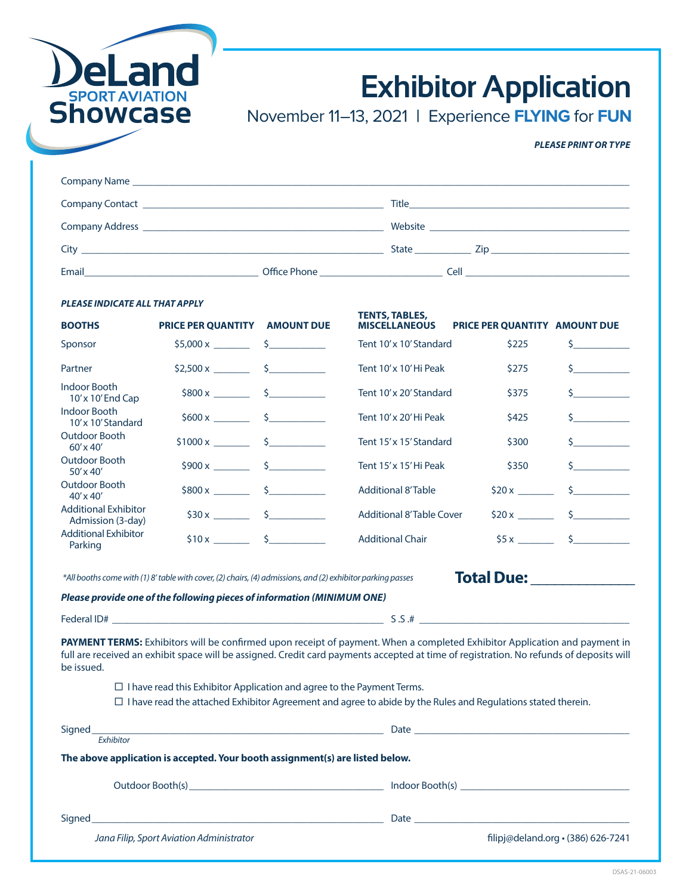

# **Exhibitor Application**

November 11–13, 2021 **|** Experience **FLYING** for **FUN**

# *PLEASE PRINT OR TYPE*

| City <b>Called the Community Contract Community</b> City <b>Community</b>                                     | State <b>State</b> | Zip and the contract of the contract of the contract of the contract of the contract of the contract of the contract of the contract of the contract of the contract of the contract of the contract of the contract of the co |
|---------------------------------------------------------------------------------------------------------------|--------------------|--------------------------------------------------------------------------------------------------------------------------------------------------------------------------------------------------------------------------------|
| Email and the contract of the contract of the contract of the contract of the contract of the contract of the |                    | <b>Cell Cell Cell Cell Cell Cell Cell</b>                                                                                                                                                                                      |

### *PLEASE INDICATE ALL THAT APPLY*

| <b>BOOTHS</b>                                    | PRICE PER QUANTITY AMOUNT DUE                                                 | <b>TENTS, TABLES,</b><br><b>MISCELLANEOUS</b>                                                                                                                                                                                                                         | PRICE PER QUANTITY AMOUNT DUE                                                                                                                                                                                                  |                                    |
|--------------------------------------------------|-------------------------------------------------------------------------------|-----------------------------------------------------------------------------------------------------------------------------------------------------------------------------------------------------------------------------------------------------------------------|--------------------------------------------------------------------------------------------------------------------------------------------------------------------------------------------------------------------------------|------------------------------------|
| Sponsor                                          | $$5,000 \times$ \$                                                            | Tent 10'x 10' Standard                                                                                                                                                                                                                                                | \$225                                                                                                                                                                                                                          | $\mathsf{S}$ and $\mathsf{S}$      |
| Partner                                          | $$2,500 \times$ \$                                                            | Tent 10' x 10' Hi Peak                                                                                                                                                                                                                                                | \$275                                                                                                                                                                                                                          | $\zeta$                            |
| <b>Indoor Booth</b><br>$10'$ x $10'$ End Cap     | $$800 x$ $$$                                                                  | Tent 10'x 20' Standard                                                                                                                                                                                                                                                | \$375                                                                                                                                                                                                                          | $\zeta$                            |
| <b>Indoor Booth</b><br>$10'$ x $10'$ Standard    | $$600 x$ $$$                                                                  | Tent 10'x 20'Hi Peak                                                                                                                                                                                                                                                  | \$425                                                                                                                                                                                                                          | $\zeta$                            |
| Outdoor Booth<br>$60' \times 40'$                | $$1000 \times \_$ \$                                                          | Tent 15'x 15' Standard                                                                                                                                                                                                                                                | \$300                                                                                                                                                                                                                          | $\frac{1}{2}$                      |
| Outdoor Booth<br>$50' \times 40'$                | $$900 x$ $$$                                                                  | Tent 15' x 15' Hi Peak                                                                                                                                                                                                                                                | \$350                                                                                                                                                                                                                          | $\zeta$                            |
| Outdoor Booth<br>40' x 40'                       | $$800 x$ $$$                                                                  | <b>Additional 8'Table</b>                                                                                                                                                                                                                                             |                                                                                                                                                                                                                                | $\frac{1}{2}$                      |
| <b>Additional Exhibitor</b><br>Admission (3-day) | $$30x$ \$                                                                     | <b>Additional 8'Table Cover</b>                                                                                                                                                                                                                                       |                                                                                                                                                                                                                                | $$20x$ \$                          |
| <b>Additional Exhibitor</b><br>Parking           | $$10x$ \$                                                                     | <b>Additional Chair</b>                                                                                                                                                                                                                                               |                                                                                                                                                                                                                                | $$5x$ $$$                          |
|                                                  | Please provide one of the following pieces of information (MINIMUM ONE)       |                                                                                                                                                                                                                                                                       |                                                                                                                                                                                                                                |                                    |
|                                                  |                                                                               | Federal ID#                                                                                                                                                                                                                                                           |                                                                                                                                                                                                                                |                                    |
| be issued.                                       | $\Box$ I have read this Exhibitor Application and agree to the Payment Terms. | PAYMENT TERMS: Exhibitors will be confirmed upon receipt of payment. When a completed Exhibitor Application and payment in<br>full are received an exhibit space will be assigned. Credit card payments accepted at time of registration. No refunds of deposits will |                                                                                                                                                                                                                                |                                    |
|                                                  |                                                                               | $\Box$ I have read the attached Exhibitor Agreement and agree to abide by the Rules and Regulations stated therein.                                                                                                                                                   |                                                                                                                                                                                                                                |                                    |
|                                                  |                                                                               |                                                                                                                                                                                                                                                                       |                                                                                                                                                                                                                                |                                    |
| Signed<br>Exhibitor                              |                                                                               |                                                                                                                                                                                                                                                                       |                                                                                                                                                                                                                                |                                    |
|                                                  | The above application is accepted. Your booth assignment(s) are listed below. |                                                                                                                                                                                                                                                                       |                                                                                                                                                                                                                                |                                    |
|                                                  |                                                                               |                                                                                                                                                                                                                                                                       |                                                                                                                                                                                                                                |                                    |
| Signed                                           |                                                                               |                                                                                                                                                                                                                                                                       | Date and the contract of the contract of the contract of the contract of the contract of the contract of the contract of the contract of the contract of the contract of the contract of the contract of the contract of the c |                                    |
|                                                  | Jana Filip, Sport Aviation Administrator                                      |                                                                                                                                                                                                                                                                       |                                                                                                                                                                                                                                | filipj@deland.org · (386) 626-7241 |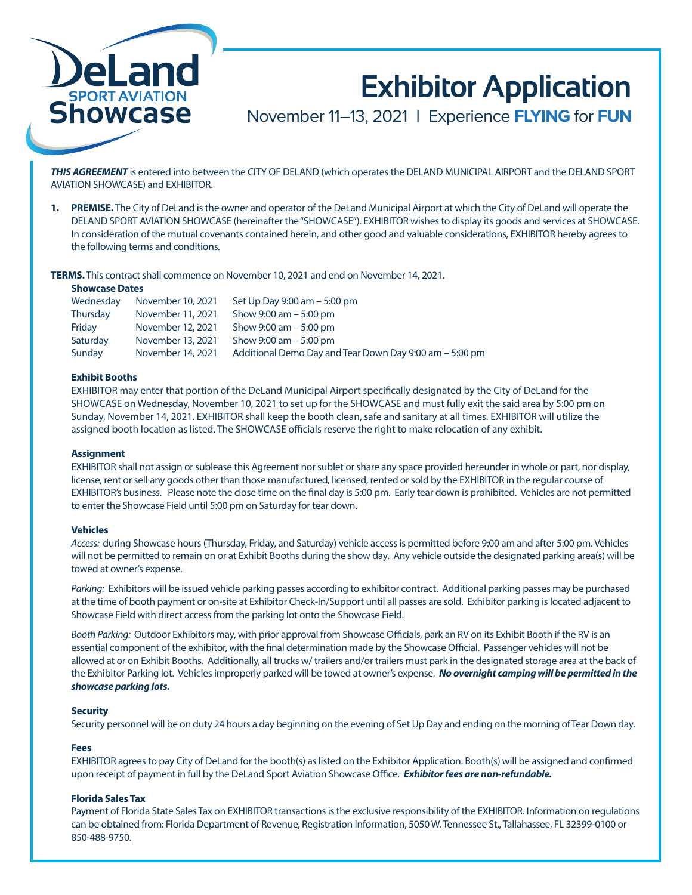

# **Exhibitor Application**

November 11–13, 2021 **|** Experience **FLYING** for **FUN**

*THIS AGREEMENT* is entered into between the CITY OF DELAND (which operates the DELAND MUNICIPAL AIRPORT and the DELAND SPORT AVIATION SHOWCASE) and EXHIBITOR.

**1. PREMISE.** The City of DeLand is the owner and operator of the DeLand Municipal Airport at which the City of DeLand will operate the DELAND SPORT AVIATION SHOWCASE (hereinafter the "SHOWCASE"). EXHIBITOR wishes to display its goods and services at SHOWCASE. In consideration of the mutual covenants contained herein, and other good and valuable considerations, EXHIBITOR hereby agrees to the following terms and conditions.

**TERMS.** This contract shall commence on November 10, 2021 and end on November 14, 2021.

### **Showcase Dates**

| Wednesday | November 10, 2021 | Set Up Day 9:00 am - 5:00 pm                            |
|-----------|-------------------|---------------------------------------------------------|
| Thursday  | November 11, 2021 | Show $9:00 \text{ am} - 5:00 \text{ pm}$                |
| Friday    | November 12, 2021 | Show $9:00 \text{ am} - 5:00 \text{ pm}$                |
| Saturday  | November 13, 2021 | Show $9:00 \text{ am} - 5:00 \text{ pm}$                |
| Sunday    | November 14, 2021 | Additional Demo Day and Tear Down Day 9:00 am – 5:00 pm |

## **Exhibit Booths**

EXHIBITOR may enter that portion of the DeLand Municipal Airport specifically designated by the City of DeLand for the SHOWCASE on Wednesday, November 10, 2021 to set up for the SHOWCASE and must fully exit the said area by 5:00 pm on Sunday, November 14, 2021. EXHIBITOR shall keep the booth clean, safe and sanitary at all times. EXHIBITOR will utilize the assigned booth location as listed. The SHOWCASE officials reserve the right to make relocation of any exhibit.

#### **Assignment**

EXHIBITOR shall not assign or sublease this Agreement nor sublet or share any space provided hereunder in whole or part, nor display, license, rent or sell any goods other than those manufactured, licensed, rented or sold by the EXHIBITOR in the regular course of EXHIBITOR's business. Please note the close time on the final day is 5:00 pm. Early tear down is prohibited. Vehicles are not permitted to enter the Showcase Field until 5:00 pm on Saturday for tear down.

#### **Vehicles**

*Access:* during Showcase hours (Thursday, Friday, and Saturday) vehicle access is permitted before 9:00 am and after 5:00 pm. Vehicles will not be permitted to remain on or at Exhibit Booths during the show day. Any vehicle outside the designated parking area(s) will be towed at owner's expense.

*Parking:* Exhibitors will be issued vehicle parking passes according to exhibitor contract. Additional parking passes may be purchased at the time of booth payment or on-site at Exhibitor Check-In/Support until all passes are sold. Exhibitor parking is located adjacent to Showcase Field with direct access from the parking lot onto the Showcase Field.

*Booth Parking:* Outdoor Exhibitors may, with prior approval from Showcase Officials, park an RV on its Exhibit Booth if the RV is an essential component of the exhibitor, with the final determination made by the Showcase Official. Passenger vehicles will not be allowed at or on Exhibit Booths. Additionally, all trucks w/ trailers and/or trailers must park in the designated storage area at the back of the Exhibitor Parking lot. Vehicles improperly parked will be towed at owner's expense. *No overnight camping will be permitted in the showcase parking lots.*

## **Security**

Security personnel will be on duty 24 hours a day beginning on the evening of Set Up Day and ending on the morning of Tear Down day.

## **Fees**

EXHIBITOR agrees to pay City of DeLand for the booth(s) as listed on the Exhibitor Application. Booth(s) will be assigned and confirmed upon receipt of payment in full by the DeLand Sport Aviation Showcase Office. *Exhibitor fees are non-refundable.*

# **Florida Sales Tax**

Payment of Florida State Sales Tax on EXHIBITOR transactions is the exclusive responsibility of the EXHIBITOR. Information on regulations can be obtained from: Florida Department of Revenue, Registration Information, 5050 W. Tennessee St., Tallahassee, FL 32399-0100 or 850-488-9750.